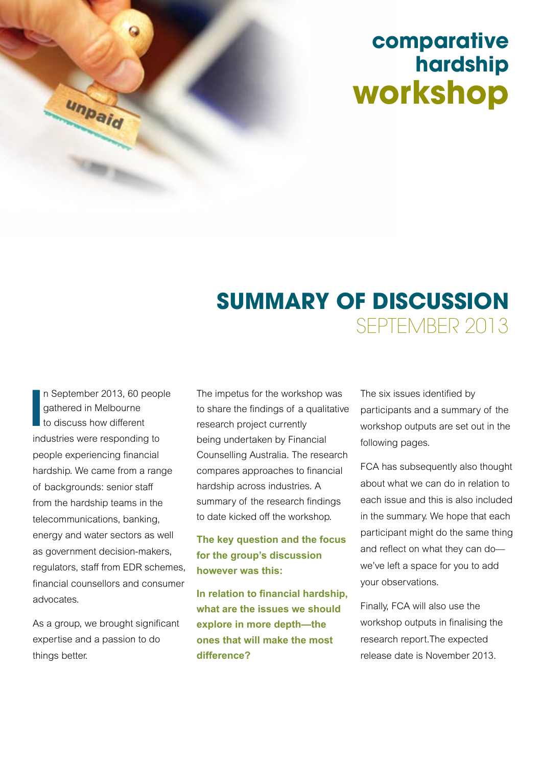# **comparative hardship workshop**

# **SUMMARY OF DISCUSSION** SEPTEMBER 2013

**I**<br>**I**<br>inc n September 2013, 60 people gathered in Melbourne to discuss how different industries were responding to people experiencing financial hardship. We came from a range of backgrounds: senior staff from the hardship teams in the telecommunications, banking, energy and water sectors as well as government decision-makers, regulators, staff from EDR schemes, financial counsellors and consumer advocates.

unpaid

As a group, we brought significant expertise and a passion to do things better.

The impetus for the workshop was to share the findings of a qualitative research project currently being undertaken by Financial Counselling Australia. The research compares approaches to financial hardship across industries. A summary of the research findings to date kicked off the workshop.

**The key question and the focus for the group's discussion however was this:** 

**In relation to financial hardship, what are the issues we should explore in more depth—the ones that will make the most difference?**

The six issues identified by participants and a summary of the workshop outputs are set out in the following pages.

FCA has subsequently also thought about what we can do in relation to each issue and this is also included in the summary. We hope that each participant might do the same thing and reflect on what they can do we've left a space for you to add your observations.

Finally, FCA will also use the workshop outputs in finalising the research report.The expected release date is November 2013.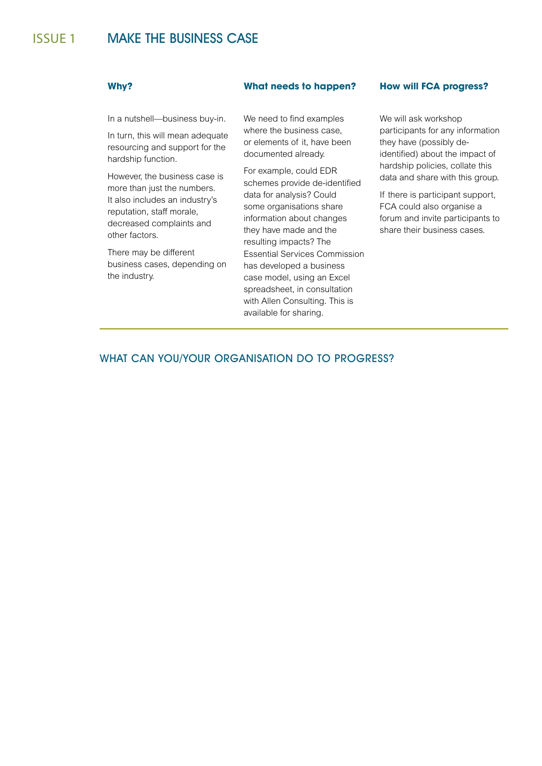In a nutshell—business buy-in.

In turn, this will mean adequate resourcing and support for the hardship function.

However, the business case is more than just the numbers. It also includes an industry's reputation, staff morale, decreased complaints and other factors.

There may be different business cases, depending on the industry.

We need to find examples where the business case, or elements of it, have been documented already.

For example, could EDR schemes provide de-identified data for analysis? Could some organisations share information about changes they have made and the resulting impacts? The Essential Services Commission has developed a business case model, using an Excel spreadsheet, in consultation with Allen Consulting. This is available for sharing.

### **Why? What needs to happen? How will FCA progress?**

We will ask workshop participants for any information they have (possibly deidentified) about the impact of hardship policies, collate this data and share with this group.

If there is participant support, FCA could also organise a forum and invite participants to share their business cases.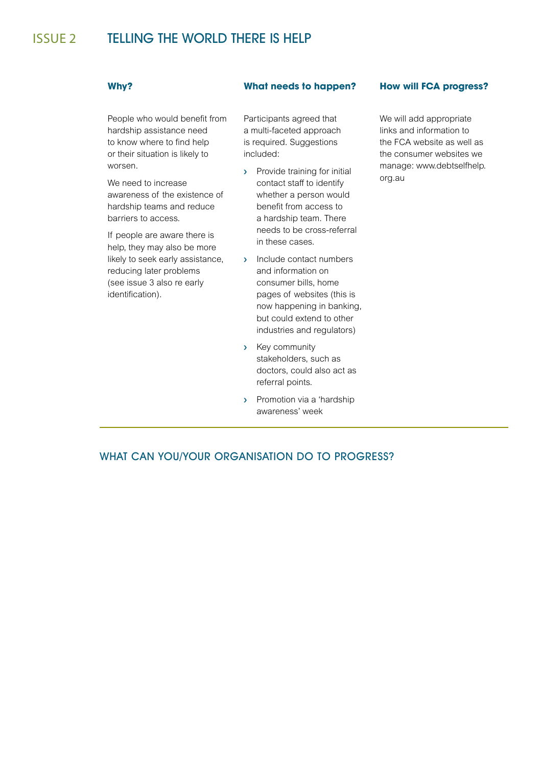# issue 2 TELLING THE WORLD THERE IS HELP

People who would benefit from hardship assistance need to know where to find help or their situation is likely to worsen.

We need to increase awareness of the existence of hardship teams and reduce barriers to access.

If people are aware there is help, they may also be more likely to seek early assistance, reducing later problems (see issue 3 also re early identification).

Participants agreed that a multi-faceted approach is required. Suggestions included:

- › Provide training for initial contact staff to identify whether a person would benefit from access to a hardship team. There needs to be cross-referral in these cases.
- › Include contact numbers and information on consumer bills, home pages of websites (this is now happening in banking, but could extend to other industries and regulators)
- › Key community stakeholders, such as doctors, could also act as referral points.
- › Promotion via a 'hardship awareness' week

## **Why? What needs to happen? How will FCA progress?**

We will add appropriate links and information to the FCA website as well as the consumer websites we manage: www.debtselfhelp. org.au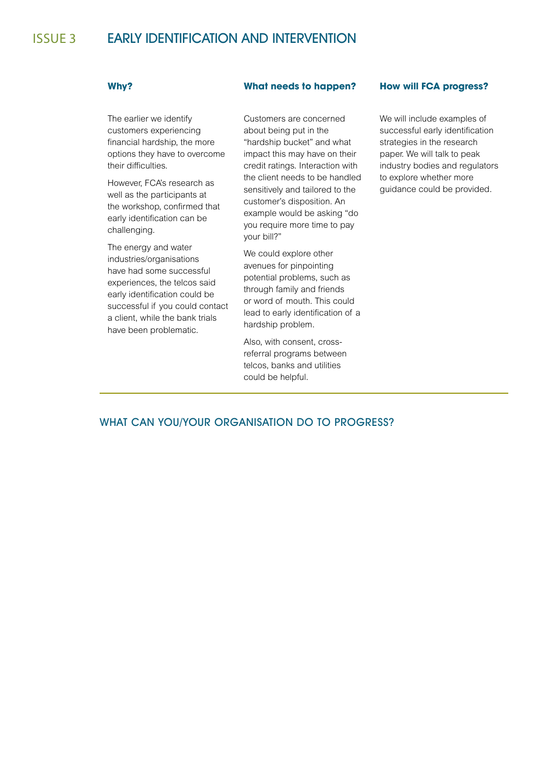# issue 3 EARLY IDENTIFICATION AND INTERVENTION

The earlier we identify customers experiencing financial hardship, the more options they have to overcome their difficulties.

However, FCA's research as well as the participants at the workshop, confirmed that early identification can be challenging.

The energy and water industries/organisations have had some successful experiences, the telcos said early identification could be successful if you could contact a client, while the bank trials have been problematic.

### **Why? What needs to happen? How will FCA progress?**

Customers are concerned about being put in the "hardship bucket" and what impact this may have on their credit ratings. Interaction with the client needs to be handled sensitively and tailored to the customer's disposition. An example would be asking "do you require more time to pay your bill?"

We could explore other avenues for pinpointing potential problems, such as through family and friends or word of mouth. This could lead to early identification of a hardship problem.

Also, with consent, crossreferral programs between telcos, banks and utilities could be helpful.

We will include examples of successful early identification strategies in the research paper. We will talk to peak industry bodies and regulators to explore whether more guidance could be provided.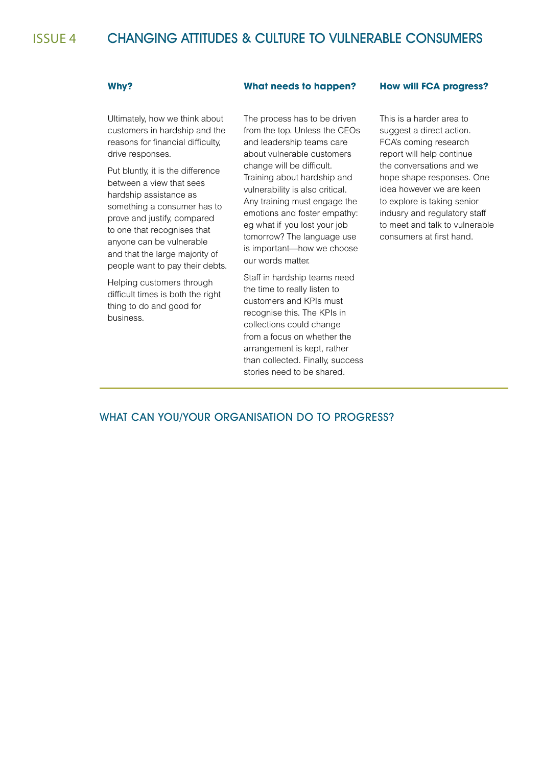# issue 4 CHANGING ATTITUDES & CULTURE TO VULNERABLE CONSUMERS

Ultimately, how we think about customers in hardship and the reasons for financial difficulty, drive responses.

Put bluntly, it is the difference between a view that sees hardship assistance as something a consumer has to prove and justify, compared to one that recognises that anyone can be vulnerable and that the large majority of people want to pay their debts.

Helping customers through difficult times is both the right thing to do and good for business.

### **Why? What needs to happen? How will FCA progress?**

The process has to be driven from the top. Unless the CEOs and leadership teams care about vulnerable customers change will be difficult. Training about hardship and vulnerability is also critical. Any training must engage the emotions and foster empathy: eg what if you lost your job tomorrow? The language use is important—how we choose our words matter.

Staff in hardship teams need the time to really listen to customers and KPIs must recognise this. The KPIs in collections could change from a focus on whether the arrangement is kept, rather than collected. Finally, success stories need to be shared.

This is a harder area to suggest a direct action. FCA's coming research report will help continue the conversations and we hope shape responses. One idea however we are keen to explore is taking senior indusry and regulatory staff to meet and talk to vulnerable consumers at first hand.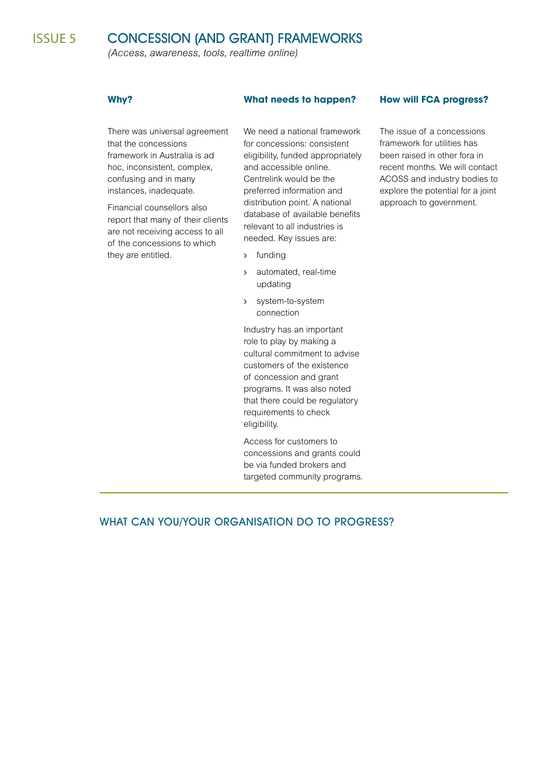*(Access, awareness, tools, realtime online)*

There was universal agreement that the concessions framework in Australia is ad hoc, inconsistent, complex, confusing and in many instances, inadequate.

Financial counsellors also report that many of their clients are not receiving access to all of the concessions to which they are entitled.

We need a national framework for concessions: consistent eligibility, funded appropriately and accessible online. Centrelink would be the preferred information and distribution point. A national database of available benefits relevant to all industries is needed. Key issues are:

- › funding
- › automated, real-time updating
- › system-to-system connection

Industry has an important role to play by making a cultural commitment to advise customers of the existence of concession and grant programs. It was also noted that there could be regulatory requirements to check eligibility.

Access for customers to concessions and grants could be via funded brokers and targeted community programs.

# **Why? What needs to happen? How will FCA progress?**

The issue of a concessions framework for utilities has been raised in other fora in recent months. We will contact ACOSS and industry bodies to explore the potential for a joint approach to government.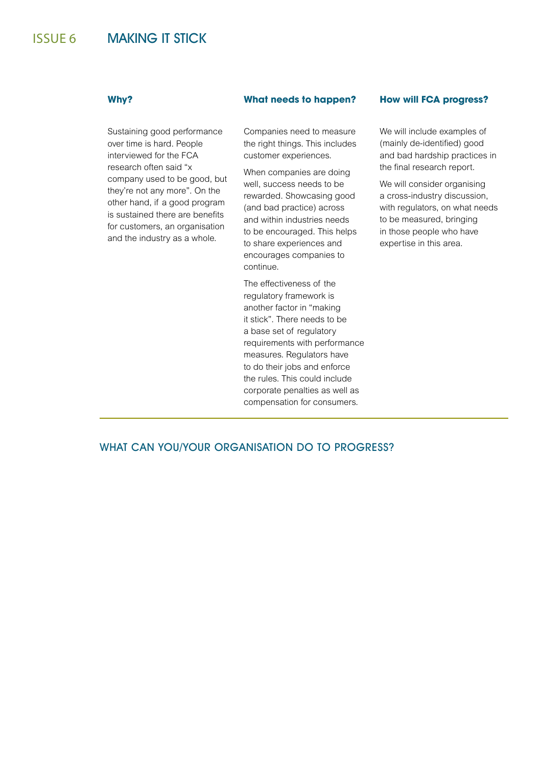# issue 6 MAKING IT STICK

Sustaining good performance over time is hard. People interviewed for the FCA research often said "x company used to be good, but they're not any more". On the other hand, if a good program is sustained there are benefits for customers, an organisation and the industry as a whole.

### **Why? What needs to happen? How will FCA progress?**

Companies need to measure the right things. This includes customer experiences.

When companies are doing well, success needs to be rewarded. Showcasing good (and bad practice) across and within industries needs to be encouraged. This helps to share experiences and encourages companies to continue.

The effectiveness of the regulatory framework is another factor in "making it stick". There needs to be a base set of regulatory requirements with performance measures. Regulators have to do their jobs and enforce the rules. This could include corporate penalties as well as compensation for consumers.

We will include examples of (mainly de-identified) good and bad hardship practices in the final research report.

We will consider organising a cross-industry discussion, with regulators, on what needs to be measured, bringing in those people who have expertise in this area.